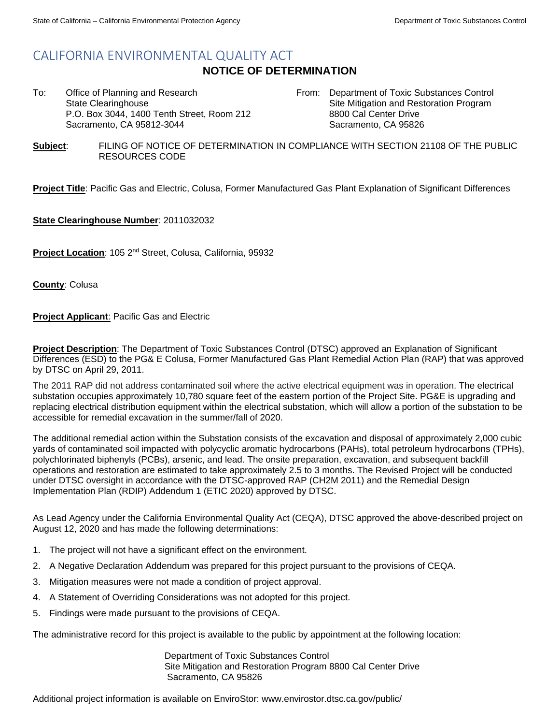# CALIFORNIA ENVIRONMENTAL QUALITY ACT

### **NOTICE OF DETERMINATION**

To: Office of Planning and Research State Clearinghouse P.O. Box 3044, 1400 Tenth Street, Room 212 Sacramento, CA 95812-3044

From: Department of Toxic Substances Control Site Mitigation and Restoration Program 8800 Cal Center Drive Sacramento, CA 95826

**Subject**: FILING OF NOTICE OF DETERMINATION IN COMPLIANCE WITH SECTION 21108 OF THE PUBLIC RESOURCES CODE

**Project Title**: Pacific Gas and Electric, Colusa, Former Manufactured Gas Plant Explanation of Significant Differences

**State Clearinghouse Number**: 2011032032

**Project Location**: 105 2nd Street, Colusa, California, 95932

**County**: Colusa

**Project Applicant**: Pacific Gas and Electric

**Project Description**: The Department of Toxic Substances Control (DTSC) approved an Explanation of Significant Differences (ESD) to the PG& E Colusa, Former Manufactured Gas Plant Remedial Action Plan (RAP) that was approved by DTSC on April 29, 2011.

The 2011 RAP did not address contaminated soil where the active electrical equipment was in operation. The electrical substation occupies approximately 10,780 square feet of the eastern portion of the Project Site. PG&E is upgrading and replacing electrical distribution equipment within the electrical substation, which will allow a portion of the substation to be accessible for remedial excavation in the summer/fall of 2020.

The additional remedial action within the Substation consists of the excavation and disposal of approximately 2,000 cubic yards of contaminated soil impacted with polycyclic aromatic hydrocarbons (PAHs), total petroleum hydrocarbons (TPHs), polychlorinated biphenyls (PCBs), arsenic, and lead. The onsite preparation, excavation, and subsequent backfill operations and restoration are estimated to take approximately 2.5 to 3 months. The Revised Project will be conducted under DTSC oversight in accordance with the DTSC-approved RAP (CH2M 2011) and the Remedial Design Implementation Plan (RDIP) Addendum 1 (ETIC 2020) approved by DTSC.

As Lead Agency under the California Environmental Quality Act (CEQA), DTSC approved the above-described project on August 12, 2020 and has made the following determinations:

- 1. The project will not have a significant effect on the environment.
- 2. A Negative Declaration Addendum was prepared for this project pursuant to the provisions of CEQA.
- 3. Mitigation measures were not made a condition of project approval.
- 4. A Statement of Overriding Considerations was not adopted for this project.
- 5. Findings were made pursuant to the provisions of CEQA.

The administrative record for this project is available to the public by appointment at the following location:

Department of Toxic Substances Control Site Mitigation and Restoration Program 8800 Cal Center Drive Sacramento, CA 95826